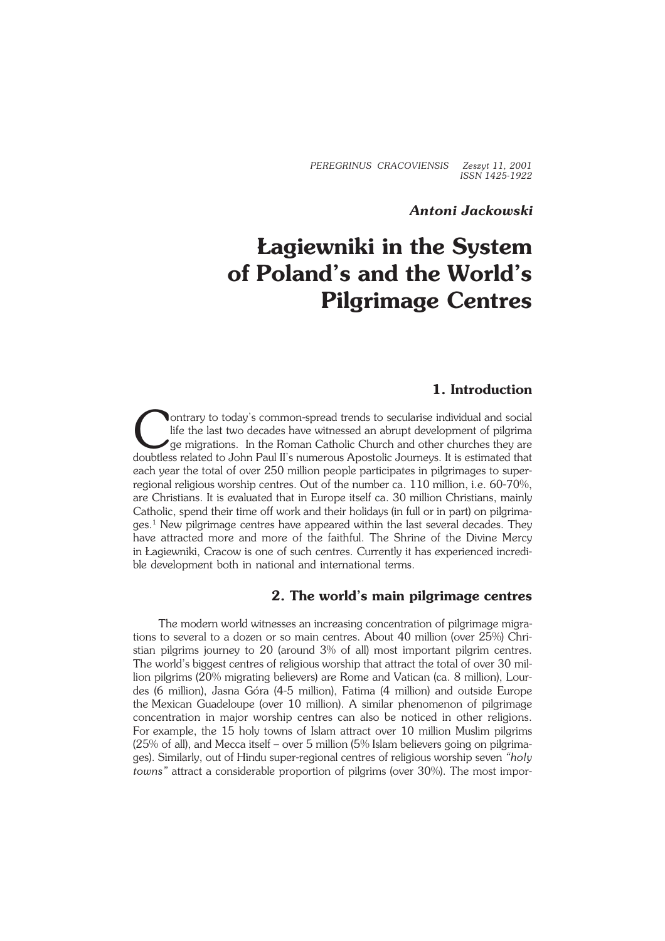*PEREGRINUS CRACOVIENSIS Zeszyt 11, 2001 ISSN 1425−1922*

## *Antoni Jackowski*

# **Łagiewniki in the System of Poland's and the World's Pilgrimage Centres**

## **1. Introduction**

Ontrary to today's common-spread trends to secularise individual and social<br>life the last two decades have witnessed an abrupt development of pilgrima<br>ge migrations. In the Roman Catholic Church and other churches they are ontrary to today's common−spread trends to secularise individual and social life the last two decades have witnessed an abrupt development of pilgrima ge migrations. In the Roman Catholic Church and other churches they are each year the total of over 250 million people participates in pilgrimages to super− regional religious worship centres. Out of the number ca. 110 million, i.e. 60−70%, are Christians. It is evaluated that in Europe itself ca. 30 million Christians, mainly Catholic, spend their time off work and their holidays (in full or in part) on pilgrima− ges.<sup>1</sup> New pilgrimage centres have appeared within the last several decades. They have attracted more and more of the faithful. The Shrine of the Divine Mercy in Łagiewniki, Cracow is one of such centres. Currently it has experienced incredi− ble development both in national and international terms.

#### **2. The world's main pilgrimage centres**

The modern world witnesses an increasing concentration of pilgrimage migra− tions to several to a dozen or so main centres. About 40 million (over 25%) Chri− stian pilgrims journey to 20 (around 3% of all) most important pilgrim centres. The world's biggest centres of religious worship that attract the total of over 30 mil− lion pilgrims (20% migrating believers) are Rome and Vatican (ca. 8 million), Lour− des (6 million), Jasna Góra (4−5 million), Fatima (4 million) and outside Europe the Mexican Guadeloupe (over 10 million). A similar phenomenon of pilgrimage concentration in major worship centres can also be noticed in other religions. For example, the 15 holy towns of Islam attract over 10 million Muslim pilgrims (25% of all), and Mecca itself – over 5 million (5% Islam believers going on pilgrimages). Similarly, out of Hindu super−regional centres of religious worship seven *"holy towns"* attract a considerable proportion of pilgrims (over 30%). The most impor−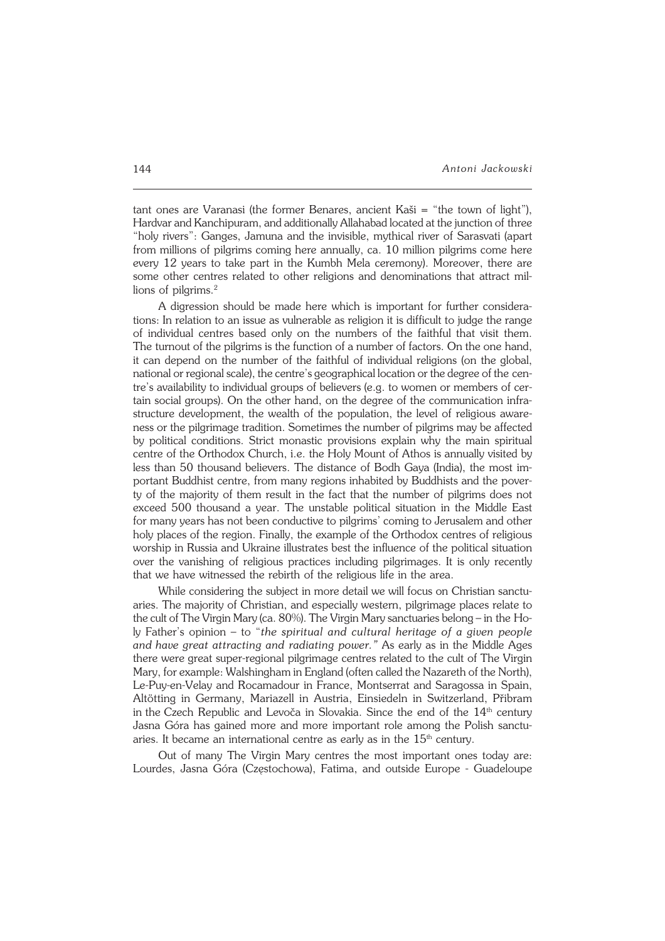tant ones are Varanasi (the former Benares, ancient Kaši = "the town of light"), Hardvar and Kanchipuram, and additionally Allahabad located at the junction of three "holy rivers": Ganges, Jamuna and the invisible, mythical river of Sarasvati (apart from millions of pilgrims coming here annually, ca. 10 million pilgrims come here every 12 years to take part in the Kumbh Mela ceremony). Moreover, there are some other centres related to other religions and denominations that attract mil− lions of pilgrims.<sup>2</sup>

A digression should be made here which is important for further considera− tions: In relation to an issue as vulnerable as religion it is difficult to judge the range of individual centres based only on the numbers of the faithful that visit them. The turnout of the pilgrims is the function of a number of factors. On the one hand, it can depend on the number of the faithful of individual religions (on the global, national or regional scale), the centre's geographical location or the degree of the cen− tre's availability to individual groups of believers (e.g. to women or members of certain social groups). On the other hand, on the degree of the communication infra− structure development, the wealth of the population, the level of religious aware− ness or the pilgrimage tradition. Sometimes the number of pilgrims may be affected by political conditions. Strict monastic provisions explain why the main spiritual centre of the Orthodox Church, i.e. the Holy Mount of Athos is annually visited by less than 50 thousand believers. The distance of Bodh Gaya (India), the most im− portant Buddhist centre, from many regions inhabited by Buddhists and the pover− ty of the majority of them result in the fact that the number of pilgrims does not exceed 500 thousand a year. The unstable political situation in the Middle East for many years has not been conductive to pilgrims' coming to Jerusalem and other holy places of the region. Finally, the example of the Orthodox centres of religious worship in Russia and Ukraine illustrates best the influence of the political situation over the vanishing of religious practices including pilgrimages. It is only recently that we have witnessed the rebirth of the religious life in the area.

While considering the subject in more detail we will focus on Christian sanctu− aries. The majority of Christian, and especially western, pilgrimage places relate to the cult of The Virgin Mary (ca. 80%). The Virgin Mary sanctuaries belong – in the Ho− ly Father's opinion – to "*the spiritual and cultural heritage of a given people* and have great attracting and radiating power." As early as in the Middle Ages there were great super−regional pilgrimage centres related to the cult of The Virgin Mary, for example: Walshingham in England (often called the Nazareth of the North), Le−Puy−en−Velay and Rocamadour in France, Montserrat and Saragossa in Spain, Altötting in Germany, Mariazell in Austria, Einsiedeln in Switzerland, Přibram in the Czech Republic and Levoča in Slovakia. Since the end of the  $14<sup>th</sup>$  century Jasna Góra has gained more and more important role among the Polish sanctu− aries. It became an international centre as early as in the  $15<sup>th</sup>$  century.

Out of many The Virgin Mary centres the most important ones today are: Lourdes, Jasna Góra (Częstochowa), Fatima, and outside Europe − Guadeloupe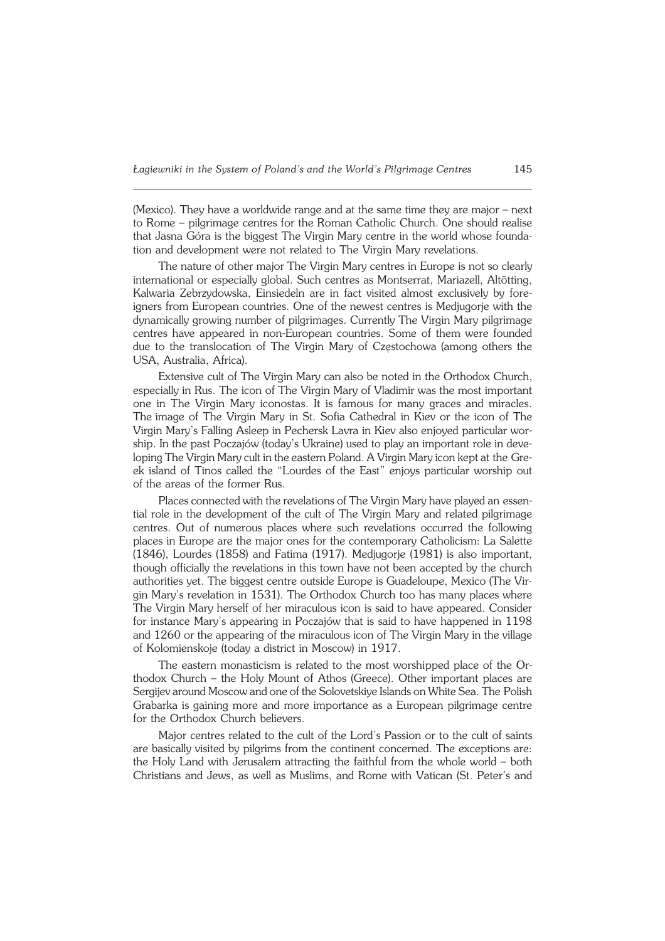(Mexico). They have a worldwide range and at the same time they are major – next to Rome – pilgrimage centres for the Roman Catholic Church. One should realise that Jasna Góra is the biggest The Virgin Mary centre in the world whose founda− tion and development were not related to The Virgin Mary revelations.

The nature of other major The Virgin Mary centres in Europe is not so clearly international or especially global. Such centres as Montserrat, Mariazell, Altötting, Kalwaria Zebrzydowska, Einsiedeln are in fact visited almost exclusively by fore− igners from European countries. One of the newest centres is Medjugorje with the dynamically growing number of pilgrimages. Currently The Virgin Mary pilgrimage centres have appeared in non−European countries. Some of them were founded due to the translocation of The Virgin Mary of Częstochowa (among others the USA, Australia, Africa).

Extensive cult of The Virgin Mary can also be noted in the Orthodox Church, especially in Rus. The icon of The Virgin Mary of Vladimir was the most important one in The Virgin Mary iconostas. It is famous for many graces and miracles. The image of The Virgin Mary in St. Sofia Cathedral in Kiev or the icon of The Virgin Mary's Falling Asleep in Pechersk Lavra in Kiev also enjoyed particular wor− ship. In the past Poczajów (today's Ukraine) used to play an important role in deve− loping The Virgin Mary cult in the eastern Poland. A Virgin Mary icon kept at the Gre− ek island of Tinos called the "Lourdes of the East" enjoys particular worship out of the areas of the former Rus.

Places connected with the revelations of The Virgin Mary have played an essential role in the development of the cult of The Virgin Mary and related pilgrimage centres. Out of numerous places where such revelations occurred the following places in Europe are the major ones for the contemporary Catholicism: La Salette (1846), Lourdes (1858) and Fatima (1917). Medjugorje (1981) is also important, though officially the revelations in this town have not been accepted by the church authorities yet. The biggest centre outside Europe is Guadeloupe, Mexico (The Vir− gin Mary's revelation in 1531). The Orthodox Church too has many places where The Virgin Mary herself of her miraculous icon is said to have appeared. Consider for instance Mary's appearing in Poczajów that is said to have happened in 1198 and 1260 or the appearing of the miraculous icon of The Virgin Mary in the village of Kolomienskoje (today a district in Moscow) in 1917.

The eastern monasticism is related to the most worshipped place of the Or− thodox Church – the Holy Mount of Athos (Greece). Other important places are Sergijev around Moscow and one of the Solovetskiye Islands on White Sea. The Polish Grabarka is gaining more and more importance as a European pilgrimage centre for the Orthodox Church believers.

Major centres related to the cult of the Lord's Passion or to the cult of saints are basically visited by pilgrims from the continent concerned. The exceptions are: the Holy Land with Jerusalem attracting the faithful from the whole world – both Christians and Jews, as well as Muslims, and Rome with Vatican (St. Peter's and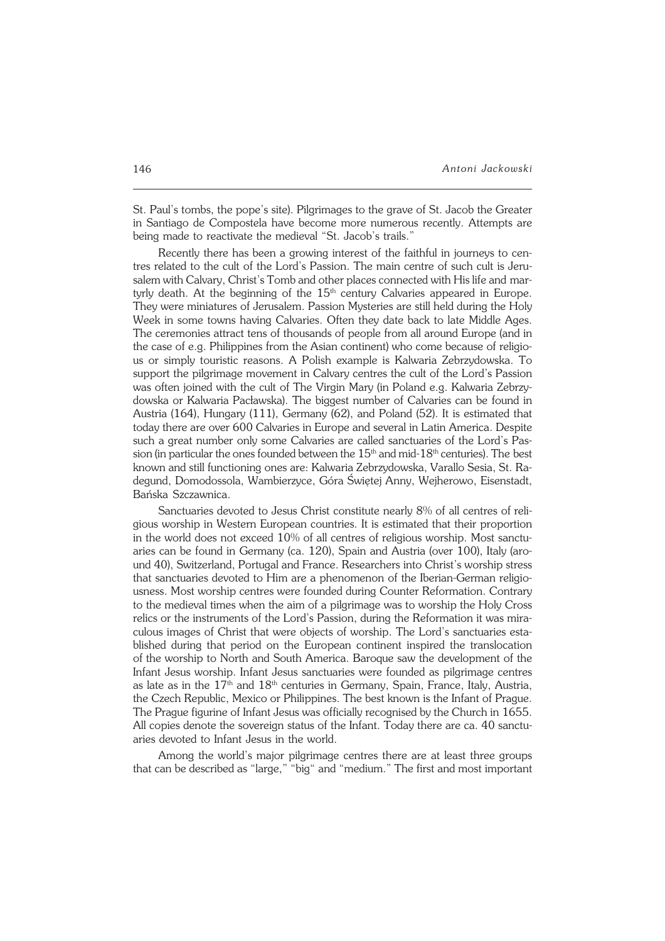St. Paul's tombs, the pope's site). Pilgrimages to the grave of St. Jacob the Greater in Santiago de Compostela have become more numerous recently. Attempts are being made to reactivate the medieval "St. Jacob's trails."

Recently there has been a growing interest of the faithful in journeys to centres related to the cult of the Lord's Passion. The main centre of such cult is Jeru− salem with Calvary, Christ's Tomb and other places connected with His life and mar− tyrly death. At the beginning of the  $15<sup>th</sup>$  century Calvaries appeared in Europe. They were miniatures of Jerusalem. Passion Mysteries are still held during the Holy Week in some towns having Calvaries. Often they date back to late Middle Ages. The ceremonies attract tens of thousands of people from all around Europe (and in the case of e.g. Philippines from the Asian continent) who come because of religio− us or simply touristic reasons. A Polish example is Kalwaria Zebrzydowska. To support the pilgrimage movement in Calvary centres the cult of the Lord's Passion was often joined with the cult of The Virgin Mary (in Poland e.g. Kalwaria Zebrzydowska or Kalwaria Pacławska). The biggest number of Calvaries can be found in Austria (164), Hungary (111), Germany (62), and Poland (52). It is estimated that today there are over 600 Calvaries in Europe and several in Latin America. Despite such a great number only some Calvaries are called sanctuaries of the Lord's Pas− sion (in particular the ones founded between the  $15<sup>th</sup>$  and mid- $18<sup>th</sup>$  centuries). The best known and still functioning ones are: Kalwaria Zebrzydowska, Varallo Sesia, St.Ra− degund, Domodossola, Wambierzyce, Góra Świętej Anny, Wejherowo, Eisenstadt, Bańska Szczawnica.

Sanctuaries devoted to Jesus Christ constitute nearly 8% of all centres of reli− gious worship in Western European countries. It is estimated that their proportion in the world does not exceed 10% of all centres of religious worship. Most sanctu− aries can be found in Germany (ca. 120), Spain and Austria (over 100), Italy (aro− und 40), Switzerland, Portugal and France. Researchers into Christ's worship stress that sanctuaries devoted to Him are a phenomenon of the Iberian−German religio− usness. Most worship centres were founded during Counter Reformation. Contrary to the medieval times when the aim of a pilgrimage was to worship the Holy Cross relics or the instruments of the Lord's Passion, during the Reformation it was mira− culous images of Christ that were objects of worship. The Lord's sanctuaries esta− blished during that period on the European continent inspired the translocation of the worship to North and South America. Baroque saw the development of the Infant Jesus worship. Infant Jesus sanctuaries were founded as pilgrimage centres as late as in the  $17<sup>th</sup>$  and  $18<sup>th</sup>$  centuries in Germany, Spain, France, Italy, Austria, the Czech Republic, Mexico or Philippines. The best known is the Infant of Prague. The Prague figurine of Infant Jesus was officially recognised by the Church in 1655. All copies denote the sovereign status of the Infant. Today there are ca. 40 sanctu− aries devoted to Infant Jesus in the world.

Among the world's major pilgrimage centres there are at least three groups that can be described as "large," "big" and "medium." The first and most important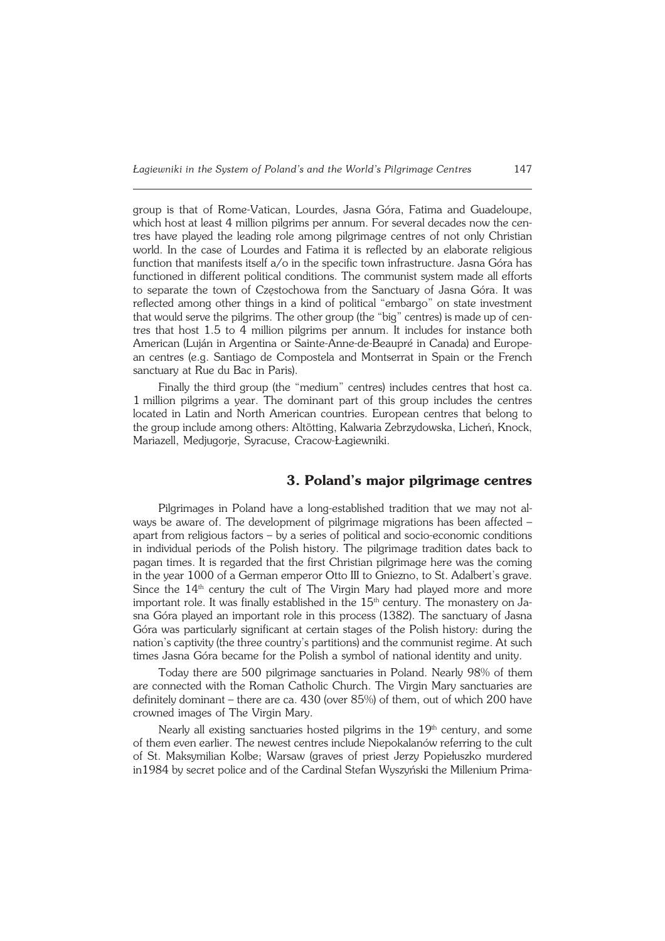group is that of Rome−Vatican, Lourdes, Jasna Góra, Fatima and Guadeloupe, which host at least 4 million pilgrims per annum. For several decades now the cen− tres have played the leading role among pilgrimage centres of not only Christian world. In the case of Lourdes and Fatima it is reflected by an elaborate religious function that manifests itself a/o in the specific town infrastructure. Jasna Góra has functioned in different political conditions. The communist system made all efforts to separate the town of Częstochowa from the Sanctuary of Jasna Góra. It was reflected among other things in a kind of political "embargo" on state investment that would serve the pilgrims. The other group (the "big" centres) is made up of centres that host 1.5 to 4 million pilgrims per annum. It includes for instance both American (Luján in Argentina or Sainte−Anne−de−Beaupré in Canada) and Europe− an centres (e.g. Santiago de Compostela and Montserrat in Spain or the French sanctuary at Rue du Bac in Paris).

Finally the third group (the "medium" centres) includes centres that host ca. 1million pilgrims a year. The dominant part of this group includes the centres located in Latin and North American countries. European centres that belong to the group include among others: Altötting, Kalwaria Zebrzydowska, Licheń, Knock, Mariazell, Medjugorje, Syracuse, Cracow−Łagiewniki.

#### **3. Poland's major pilgrimage centres**

Pilgrimages in Poland have a long−established tradition that we may not al− ways be aware of. The development of pilgrimage migrations has been affected – apart from religious factors – by a series of political and socio−economic conditions in individual periods of the Polish history. The pilgrimage tradition dates back to pagan times. It is regarded that the first Christian pilgrimage here was the coming in the year 1000 of a German emperor Otto III to Gniezno, to St. Adalbert's grave. Since the  $14<sup>th</sup>$  century the cult of The Virgin Mary had played more and more important role. It was finally established in the  $15<sup>th</sup>$  century. The monastery on Jasna Góra played an important role in this process (1382). The sanctuary of Jasna Góra was particularly significant at certain stages of the Polish history: during the nation's captivity (the three country's partitions) and the communist regime. At such times Jasna Góra became for the Polish a symbol of national identity and unity.

Today there are 500 pilgrimage sanctuaries in Poland. Nearly 98% of them are connected with the Roman Catholic Church. The Virgin Mary sanctuaries are definitely dominant – there are ca. 430 (over 85%) of them, out of which 200 have crowned images of The Virgin Mary.

Nearly all existing sanctuaries hosted pilgrims in the 19<sup>th</sup> century, and some of them even earlier. The newest centres include Niepokalanów referring to the cult of St. Maksymilian Kolbe; Warsaw (graves of priest Jerzy Popiełuszko murdered in1984 by secret police and of the Cardinal Stefan Wyszyński the Millenium Prima−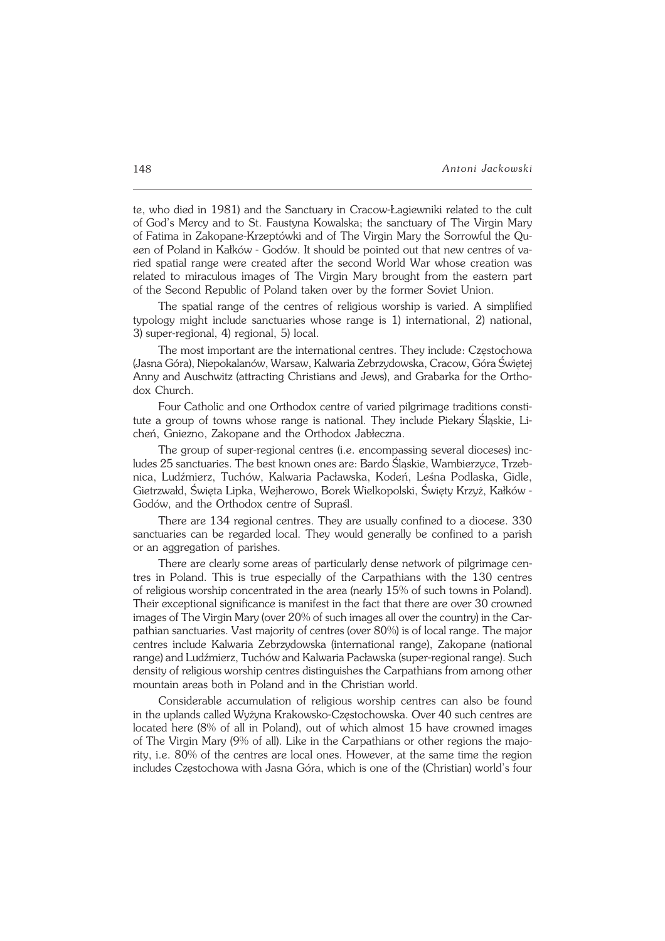te, who died in 1981) and the Sanctuary in Cracow−Łagiewniki related to the cult ofGod's Mercy and to St. Faustyna Kowalska; the sanctuary of The Virgin Mary of Fatima in Zakopane-Krzeptówki and of The Virgin Mary the Sorrowful the Queen of Poland in Kałków - Godów. It should be pointed out that new centres of varied spatial range were created after the second World War whose creation was related to miraculous images of The Virgin Mary brought from the eastern part of the Second Republic of Poland taken over by the former Soviet Union.

The spatial range of the centres of religious worship is varied. A simplified typology might include sanctuaries whose range is 1) international, 2) national, 3)super−regional, 4) regional, 5) local.

The most important are the international centres. They include: Częstochowa (Jasna Góra), Niepokalanów, Warsaw, Kalwaria Zebrzydowska, Cracow, Góra Świętej Anny and Auschwitz (attracting Christians and Jews), and Grabarka for the Ortho− dox Church.

Four Catholic and one Orthodox centre of varied pilgrimage traditions consti− tute a group of towns whose range is national. They include Piekary Śląskie, Li− cheń, Gniezno, Zakopane and the Orthodox Jabłeczna.

The group of super−regional centres (i.e. encompassing several dioceses) inc− ludes 25 sanctuaries. The best known ones are: Bardo Śląskie, Wambierzyce, Trzeb− nica, Ludźmierz, Tuchów, Kalwaria Pacławska, Kodeń, Leśna Podlaska, Gidle, Gietrzwałd, Święta Lipka, Wejherowo, Borek Wielkopolski, Święty Krzyż, Kałków − Godów, and the Orthodox centre of Supraśl.

There are 134 regional centres. They are usually confined to a diocese. 330 sanctuaries can be regarded local. They would generally be confined to a parish or an aggregation of parishes.

There are clearly some areas of particularly dense network of pilgrimage cen− tres in Poland. This is true especially of the Carpathians with the 130 centres ofreligious worship concentrated in the area (nearly 15% of such towns in Poland). Their exceptional significance is manifest in the fact that there are over 30 crowned images of The Virgin Mary (over 20% of such images all over the country) in theCar− pathian sanctuaries. Vast majority of centres (over 80%) is of local range. The major centres include Kalwaria Zebrzydowska (international range), Zakopane (national range) and Ludźmierz, Tuchów and Kalwaria Pacławska (super−regional range). Such density of religious worship centres distinguishes the Carpathians from among other mountain areas both in Poland and in the Christian world.

Considerable accumulation of religious worship centres can also be found in the uplands called Wyżyna Krakowsko-Częstochowska. Over 40 such centres are located here (8% of all in Poland), out of which almost 15 have crowned images of The Virgin Mary (9% of all). Like in the Carpathians or other regions the majority, i.e. 80% of the centres are local ones. However, at the same time the region includes Częstochowa with Jasna Góra, which is one of the (Christian) world's four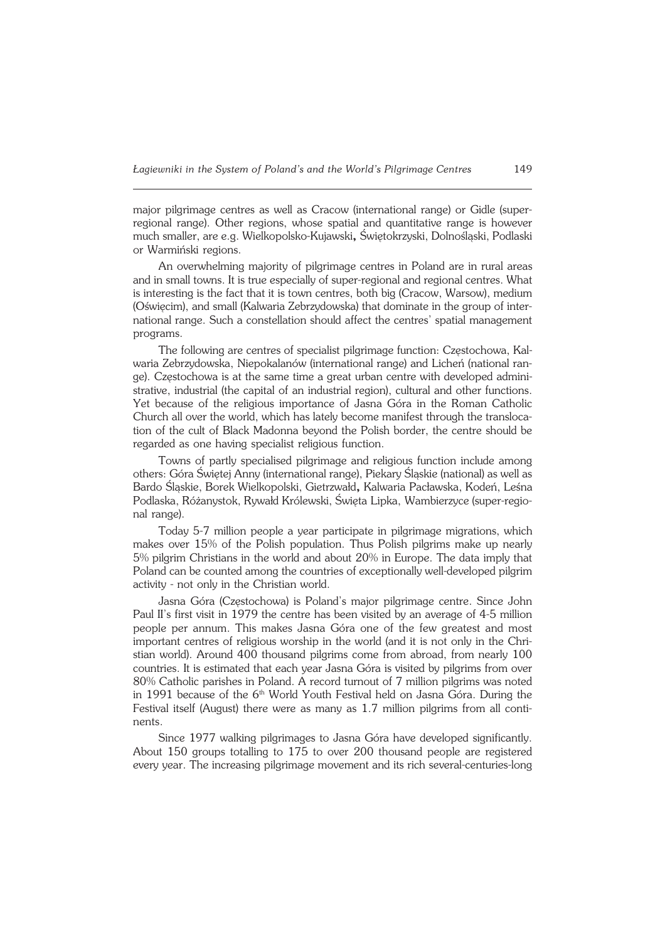major pilgrimage centres as well as Cracow (international range) or Gidle (super− regional range). Other regions, whose spatial and quantitative range is however much smaller, are e.g. Wielkopolsko−Kujawski**,** Świętokrzyski, Dolnośląski, Podlaski or Warmiński regions.

An overwhelming majority of pilgrimage centres in Poland are in rural areas and in small towns. It is true especially of super−regional and regional centres. What is interesting is the fact that it is town centres, both big (Cracow, Warsow), medium (Oświęcim), and small (Kalwaria Zebrzydowska) that dominate in the group of inter− national range. Such a constellation should affect the centres' spatial management programs.

The following are centres of specialist pilgrimage function: Częstochowa, Kal− waria Zebrzydowska, Niepokalanów (international range) and Licheń (national ran− ge). Częstochowa is at the same time a great urban centre with developed admini− strative, industrial (the capital of an industrial region), cultural and other functions. Yet because of the religious importance of Jasna Góra in the Roman Catholic Church all over the world, which has lately become manifest through the transloca− tion of the cult of Black Madonna beyond the Polish border, the centre should be regarded as one having specialist religious function.

Towns of partly specialised pilgrimage and religious function include among others: Góra Świętej Anny (international range), Piekary Śląskie (national) as well as Bardo Śląskie, Borek Wielkopolski, Gietrzwałd**,** Kalwaria Pacławska, Kodeń, Leśna Podlaska, Różanystok, Rywałd Królewski, Święta Lipka, Wambierzyce (super−regio− nal range).

Today 5−7 million people a year participate in pilgrimage migrations, which makes over 15% of the Polish population. Thus Polish pilgrims make up nearly 5% pilgrim Christians in the world and about 20% in Europe. The data imply that Poland can be counted among the countries of exceptionally well−developed pilgrim activity − not only in the Christian world.

Jasna Góra (Częstochowa) is Poland's major pilgrimage centre. Since John Paul II's first visit in 1979 the centre has been visited by an average of 4−5 million people per annum. This makes Jasna Góra one of the few greatest and most important centres of religious worship in the world (and it is not only in the Chri− stian world). Around 400 thousand pilgrims come from abroad, from nearly 100 countries. It is estimated that each year Jasna Góra is visited by pilgrims from over 80% Catholic parishes in Poland. A record turnout of 7 million pilgrims was noted in 1991 because of the 6<sup>th</sup> World Youth Festival held on Jasna Góra. During the Festival itself (August) there were as many as 1.7 million pilgrims from all conti− nents.

Since 1977 walking pilgrimages to Jasna Góra have developed significantly. About 150 groups totalling to 175 to over 200 thousand people are registered every year. The increasing pilgrimage movement and its rich several−centuries−long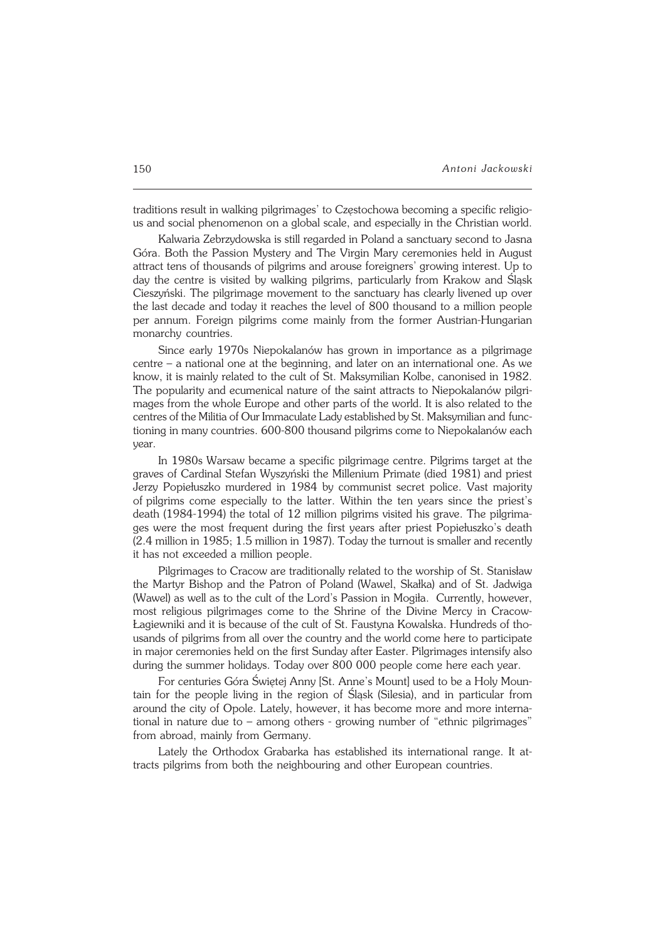traditions result in walking pilgrimages' to Częstochowa becoming a specific religio− us and social phenomenon on a global scale, and especially in the Christian world.

Kalwaria Zebrzydowska is still regarded in Poland a sanctuary second to Jasna Góra. Both the Passion Mystery and The Virgin Mary ceremonies held in August attract tens of thousands of pilgrims and arouse foreigners' growing interest. Up to day the centre is visited by walking pilgrims, particularly from Krakow and Śląsk Cieszyński. The pilgrimage movement to the sanctuary has clearly livened up over the last decade and today it reaches the level of 800 thousand to a million people per annum. Foreign pilgrims come mainly from the former Austrian−Hungarian monarchy countries.

Since early 1970s Niepokalanów has grown in importance as a pilgrimage centre – a national one at the beginning, and later on an international one. As we know, it is mainly related to the cult of St. Maksymilian Kolbe, canonised in 1982. The popularity and ecumenical nature of the saint attracts to Niepokalanów pilgrimages from the whole Europe and other parts of the world. It is also related to the centres of the Militia of Our Immaculate Lady established by St. Maksymilian andfunc− tioning in many countries. 600−800 thousand pilgrims come to Niepokalanów each year.

In 1980s Warsaw became a specific pilgrimage centre. Pilgrims target at the graves of Cardinal Stefan Wyszyński the Millenium Primate (died 1981) and priest Jerzy Popiełuszko murdered in 1984 by communist secret police. Vast majority of pilgrims come especially to the latter. Within the ten years since the priest's death (1984−1994) the total of 12 million pilgrims visited his grave. The pilgrima− ges were the most frequent during the first years after priest Popiełuszko's death (2.4 million in 1985; 1.5 million in 1987). Today the turnout is smaller and recently it has not exceeded a million people.

Pilgrimages to Cracow are traditionally related to the worship of St. Stanisław the Martyr Bishop and the Patron of Poland (Wawel, Skałka) and of St. Jadwiga (Wawel) as well as to the cult of the Lord's Passion in Mogiła. Currently, however, most religious pilgrimages come to the Shrine of the Divine Mercy in Cracow− Łagiewniki and it is because of the cult of St. Faustyna Kowalska. Hundreds of thousands of pilgrims from all over the country and the world come here to participate in major ceremonies held on the first Sunday after Easter. Pilgrimages intensify also during the summer holidays. Today over 800 000 people come here each year.

For centuries Góra Świętej Anny [St. Anne's Mount] used to be a Holy Moun− tain for the people living in the region of Śląsk (Silesia), and in particular from around the city of Opole. Lately, however, it has become more and more interna− tional in nature due to – among others − growing number of "ethnic pilgrimages" from abroad, mainly from Germany.

Lately the Orthodox Grabarka has established its international range. It at− tracts pilgrims from both the neighbouring and other European countries.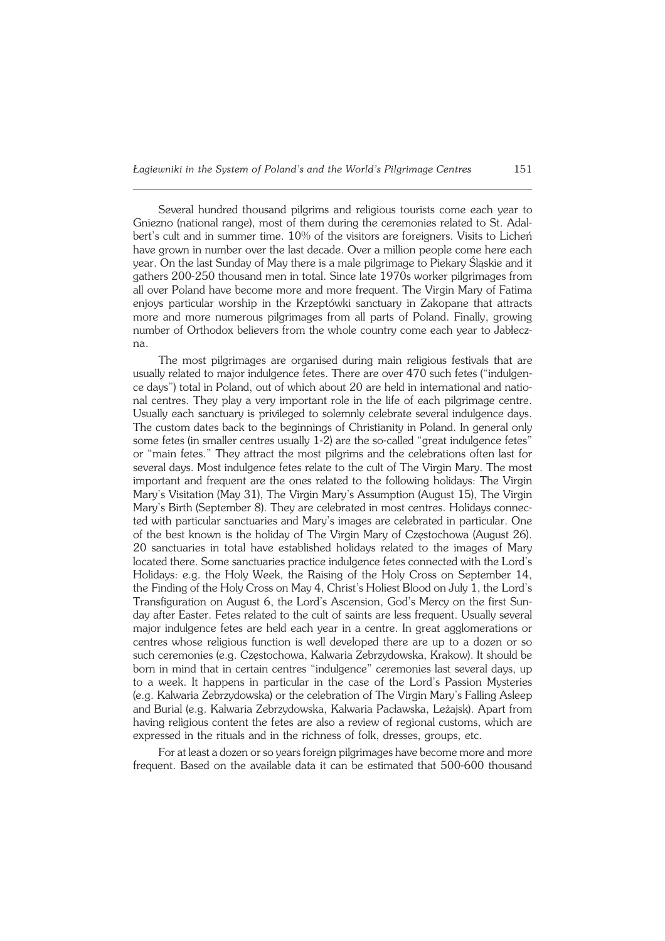Several hundred thousand pilgrims and religious tourists come each year to Gniezno (national range), most of them during the ceremonies related to St. Adal− bert's cult and in summer time. 10% of the visitors are foreigners. Visits to Licheń have grown in number over the last decade. Over a million people come here each year. On the last Sunday of May there is a male pilgrimage to Piekary Śląskie and it gathers 200−250 thousand men in total. Since late 1970s worker pilgrimages from all over Poland have become more and more frequent. The Virgin Mary of Fatima enjoys particular worship in the Krzeptówki sanctuary in Zakopane that attracts more and more numerous pilgrimages from all parts of Poland. Finally, growing number of Orthodox believers from the whole country come each year to Jabłecz− na.

The most pilgrimages are organised during main religious festivals that are usually related to major indulgence fetes. There are over 470 such fetes ("indulgen− ce days") total in Poland, out of which about 20 are held in international and national centres. They play a very important role in the life of each pilgrimage centre. Usually each sanctuary is privileged to solemnly celebrate several indulgence days. The custom dates back to the beginnings of Christianity in Poland. In general only some fetes (in smaller centres usually 1−2) are the so−called "great indulgence fetes" or "main fetes." They attract the most pilgrims and the celebrations often last for several days. Most indulgence fetes relate to the cult of The Virgin Mary. The most important and frequent are the ones related to the following holidays: The Virgin Mary's Visitation (May 31), The Virgin Mary's Assumption (August 15), The Virgin Mary's Birth (September 8). They are celebrated in most centres. Holidays connec− ted with particular sanctuaries and Mary's images are celebrated in particular. One of the best known is the holiday of The Virgin Mary of Częstochowa (August 26). 20 sanctuaries in total have established holidays related to the images of Mary located there. Some sanctuaries practice indulgence fetes connected with the Lord's Holidays: e.g. the Holy Week, the Raising of the Holy Cross on September 14, the Finding of the Holy Cross on May 4, Christ's Holiest Blood on July 1, the Lord's Transfiguration on August 6, the Lord's Ascension, God's Mercy on the first Sun− day after Easter. Fetes related to the cult of saints are less frequent. Usually several major indulgence fetes are held each year in a centre. In great agglomerations or centres whose religious function is well developed there are up to a dozen or so such ceremonies (e.g. Częstochowa, Kalwaria Zebrzydowska, Krakow). It should be born in mind that in certain centres "indulgence" ceremonies last several days, up to a week. It happens in particular in the case of the Lord's Passion Mysteries (e.g.Kalwaria Zebrzydowska) or the celebration of The Virgin Mary's Falling Asleep and Burial (e.g. Kalwaria Zebrzydowska, Kalwaria Pacławska, Leżajsk). Apart from having religious content the fetes are also a review of regional customs, which are expressed in the rituals and in the richness of folk, dresses, groups, etc.

For at least a dozen or so years foreign pilgrimages have become more and more frequent. Based on the available data it can be estimated that 500−600 thousand